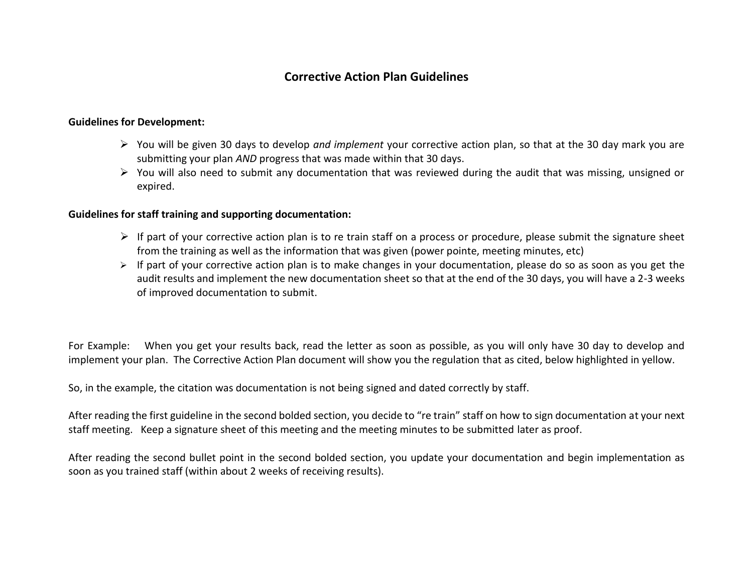## **Corrective Action Plan Guidelines**

## **Guidelines for Development:**

- You will be given 30 days to develop *and implement* your corrective action plan, so that at the 30 day mark you are submitting your plan *AND* progress that was made within that 30 days.
- $\triangleright$  You will also need to submit any documentation that was reviewed during the audit that was missing, unsigned or expired.

## **Guidelines for staff training and supporting documentation:**

- $\triangleright$  If part of your corrective action plan is to re train staff on a process or procedure, please submit the signature sheet from the training as well as the information that was given (power pointe, meeting minutes, etc)
- $\triangleright$  If part of your corrective action plan is to make changes in your documentation, please do so as soon as you get the audit results and implement the new documentation sheet so that at the end of the 30 days, you will have a 2-3 weeks of improved documentation to submit.

For Example: When you get your results back, read the letter as soon as possible, as you will only have 30 day to develop and implement your plan. The Corrective Action Plan document will show you the regulation that as cited, below highlighted in yellow.

So, in the example, the citation was documentation is not being signed and dated correctly by staff.

After reading the first guideline in the second bolded section, you decide to "re train" staff on how to sign documentation at your next staff meeting. Keep a signature sheet of this meeting and the meeting minutes to be submitted later as proof.

After reading the second bullet point in the second bolded section, you update your documentation and begin implementation as soon as you trained staff (within about 2 weeks of receiving results).